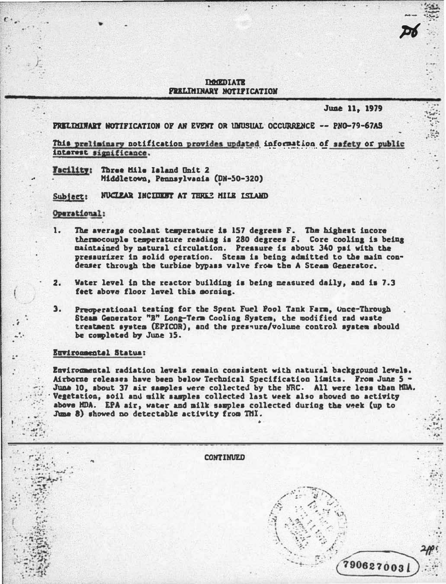## **THMEDIATE FRELIMINARY NOTIFICATION**

## June 11. 1979

PRELEGINARY NOTIFICATION OF AN EVENT OR UNUSUAL OCCURRENCE -- PNO-79-67AS

This preliminary notification provides updated information of safety or public interest significance.

Wacility: Three Mile Island Unit 2 Middletown, Pennsylvania (DN-50-320)

NUCLEAR INCLUDIT AT THREE MILE ISLAND  $Sub$   $ect:$ 

## Operational:

- The average coolant temperature is 157 degrees F. The highest incore thereocouple temperature reading is 280 degrees F. Core cooling is being 1. maintained by natural circulation. Pressure is about 340 pai with the pressurizer in solid operation. Steam is being admitted to the main condeaser through the turbine bypass valve from the A Steam Generator.
- $2.$ Water level in the reactor building is being measured daily, and is 7.3 feet above floor level this sorning.
- $3.$ Preoperational testing for the Spent Fuel Pool Tank Farm. Unce-Through Steam Generator "B" Long-Term Cooling System, the modified rad waste treatment system (EPICOR), and the pressure/volume control system sbould be completed by June 15.

## Euvironmental Status:

Environmental radiation levels remain consistent with natural background levels. Airborne releases have been below Technical Specification limits. From June 5 -June 10, sbout 37 air samples were collected by the NRC. All were less than MilA. Vegetation, soil and milk samples collected last week also showed no activity above HDA. EPA air, water and milk samples collected during the week (up to June 8) showed no detectable activity from ThI.

**CONTINUED** 7906270031